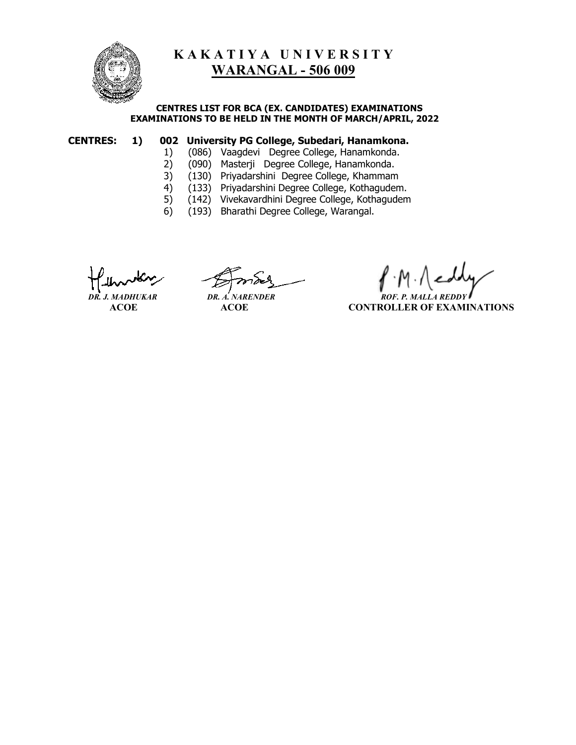

# **K A K A T I Y A U N I V E R S I T Y WARANGAL - 506 009**

#### **CENTRES LIST FOR BCA (EX. CANDIDATES) EXAMINATIONS EXAMINATIONS TO BE HELD IN THE MONTH OF MARCH/APRIL, 2022**

## **CENTRES: 1) 002 University PG College, Subedari, Hanamkona.**

- 1) (086) Vaagdevi Degree College, Hanamkonda.<br>2) (090) Masterji Degree College, Hanamkonda.
	- 2) (090) Masterji Degree College, Hanamkonda.
	-
- 3) (130) Priyadarshini Degree College, Khammam<br>4) (133) Priyadarshini Degree College, Kothagudem 4) (133) Priyadarshini Degree College, Kothagudem.
- 5) (142) Vivekavardhini Degree College, Kothagudem
- 6) (193) Bharathi Degree College, Warangal.

j

*DR. J. MADHUKAR* **DR. A. NARENDER ROF. P. MALLA** 

 **ACOE ACOE CONTROLLER OF EXAMINATIONS**